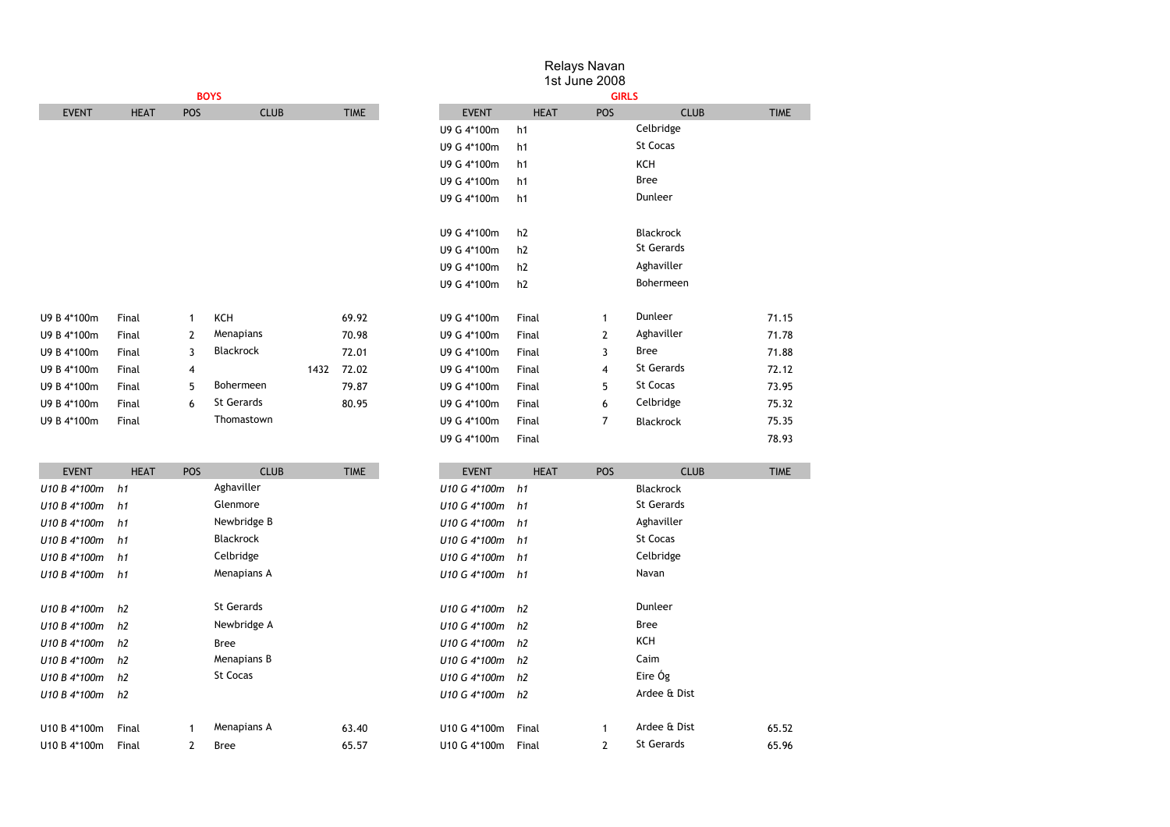|              |             |     |                  |      |             |              |                | 1.010, 0.110, 0.11<br>1st June 2008 |                  |
|--------------|-------------|-----|------------------|------|-------------|--------------|----------------|-------------------------------------|------------------|
|              |             |     | <b>BOYS</b>      |      |             |              |                | <b>GIRLS</b>                        |                  |
| <b>EVENT</b> | <b>HEAT</b> | POS | <b>CLUB</b>      |      | <b>TIME</b> | <b>EVENT</b> | <b>HEAT</b>    | POS                                 | <b>CLUB</b>      |
|              |             |     |                  |      |             | U9 G 4*100m  | h1             |                                     | Celbridge        |
|              |             |     |                  |      |             | U9 G 4*100m  | h1             |                                     | St Cocas         |
|              |             |     |                  |      |             | U9 G 4*100m  | h1             |                                     | KCH              |
|              |             |     |                  |      |             | U9 G 4*100m  | h1             |                                     | <b>Bree</b>      |
|              |             |     |                  |      |             | U9 G 4*100m  | h1             |                                     | Dunleer          |
|              |             |     |                  |      |             | U9 G 4*100m  | h <sub>2</sub> |                                     | Blackrock        |
|              |             |     |                  |      |             | U9 G 4*100m  | h <sub>2</sub> |                                     | St Gerards       |
|              |             |     |                  |      |             | U9 G 4*100m  | h <sub>2</sub> |                                     | Aghaviller       |
|              |             |     |                  |      |             | U9 G 4*100m  | h <sub>2</sub> |                                     | Bohermeen        |
| U9 B 4*100m  | Final       | 1   | KCH              |      | 69.92       | U9 G 4*100m  | Final          | 1                                   | Dunleer          |
| U9 B 4*100m  | Final       | 2   | Menapians        |      | 70.98       | U9 G 4*100m  | Final          | 2                                   | Aghaviller       |
| U9 B 4*100m  | Final       | 3   | <b>Blackrock</b> |      | 72.01       | U9 G 4*100m  | Final          | 3                                   | <b>Bree</b>      |
| U9 B 4*100m  | Final       | 4   |                  | 1432 | 72.02       | U9 G 4*100m  | Final          | $\overline{4}$                      | St Gerards       |
| U9 B 4*100m  | Final       | 5   | Bohermeen        |      | 79.87       | U9 G 4*100m  | Final          | 5                                   | St Cocas         |
| U9 B 4*100m  | Final       | 6   | St Gerards       |      | 80.95       | U9 G 4*100m  | Final          | 6                                   | Celbridge        |
| U9 B 4*100m  | Final       |     | Thomastown       |      |             | U9 G 4*100m  | Final          | 7                                   | <b>Blackrock</b> |
|              |             |     |                  |      |             | U9 G 4*100m  | Final          |                                     |                  |
| <b>EVENT</b> | <b>HEAT</b> | POS | <b>CLUB</b>      |      | <b>TIME</b> | <b>EVENT</b> | <b>HEAT</b>    | <b>POS</b>                          | <b>CLUB</b>      |
| U10 B 4*100m | h1          |     | Aghaviller       |      |             | U10 G 4*100m | h1             |                                     | <b>Blackrock</b> |

*U10 B 4\*100m h1 U10 G 4\*100m h1* Glenmore St Gerards *U10 B 4\*100m h1* Aghaviller **Newbridge B** Aghaviller *U10 G 4\*100m h1* Aghaviller *U10 B 4\*100m h1 U10 G 4\*100m h1* St Cocas *U10 B 4\*100m h1 U10 G 4\*100m h1* Celbridge Celbridge *U10 B 4\*100m h1 U10 G 4\*100m h1* Menapians A Navan

*U10 B 4\*100m h2 U10 G 4\*100m h2* St Gerards Dunleer *U10 B 4\*100m h2 U10 G 4\*100m h2* Newbridge A Bree *U10 B 4\*100m h2 U10 G 4\*100m h2* KCH *U10 B 4\*100m h2 U10 G 4\*100m h2* Menapians B Caim

U10 B 4\*100m Final 1 63.40 U10 G 4\*100m Final 1 65.52 Menapians A Ardee & Dist U10 B 4\*100m Final 2 65.57 U10 G 4\*100m Final 2 65.96 Bree St Gerards

*U10 B 4\*100m h2* St Cocas *U10 G 4\*100m h2 U10 B 4\*100m h2 U10 G 4\*100m h2*

Blackrock

Bree

# Relays Navan

Eire Óg Ardee & Dist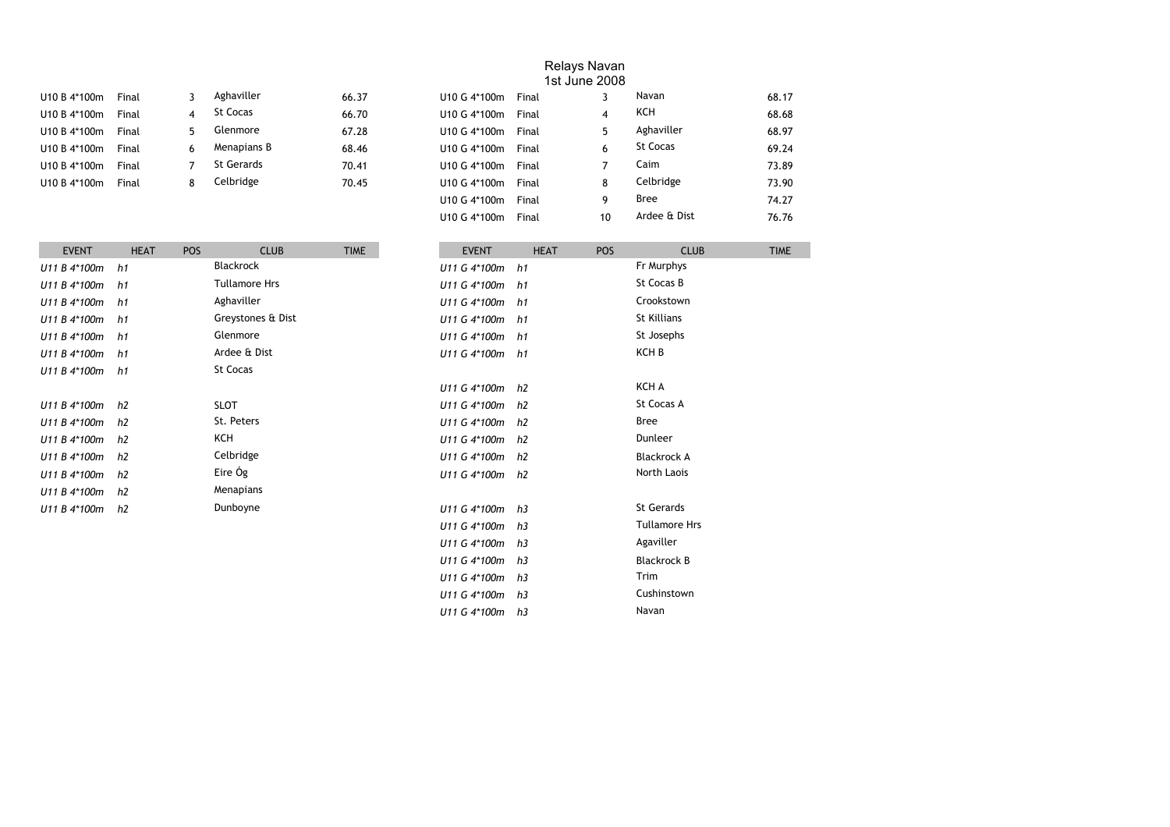| U10 B 4*100m | Final | ٦ | Aghaviller  | 66.37 |
|--------------|-------|---|-------------|-------|
| U10 B 4*100m | Final | 4 | St Cocas    | 66.70 |
| U10 B 4*100m | Final | 5 | Glenmore    | 67.28 |
| U10 B 4*100m | Final | 6 | Menapians B | 68.46 |
| U10 B 4*100m | Final |   | St Gerards  | 70.41 |
| U10 B 4*100m | Final | 8 | Celbridge   | 70.45 |
|              |       |   |             |       |

| U10 B 4*100m | Final |    | Aghaviller        | 66.37 | U10 G 4*100m               | Final |    | Navan        | 68.17 |
|--------------|-------|----|-------------------|-------|----------------------------|-------|----|--------------|-------|
| U10 B 4*100m | Final | 4  | St Cocas          | 66.70 | U10 G 4*100m               | Final | 4  | KCH          | 68.68 |
| U10 B 4*100m | Final | 5. | Glenmore          | 67.28 | U10 G 4*100m               | Final | 5  | Aghaviller   | 68.97 |
| U10 B 4*100m | Final | 6  | Menapians B       | 68.46 | U10 G 4*100m               | Final | 6  | St Cocas     | 69.24 |
| U10 B 4*100m | Final |    | <b>St Gerards</b> | 70.41 | U10 G 4*100m               | Final |    | Caim         | 73.89 |
| U10 B 4*100m | Final | 8  | Celbridge         | 70.45 | U <sub>10</sub> G $4*100m$ | Final | 8  | Celbridge    | 73.90 |
|              |       |    |                   |       | U10 G 4*100m               | Final | 9  | Bree         | 74.27 |
|              |       |    |                   |       | U10 G 4*100m               | Final | 10 | Ardee & Dist | 76.76 |
|              |       |    |                   |       |                            |       |    |              |       |

Cushinstown Navan

| <b>EVENT</b> | <b>HEAT</b>    | <b>POS</b> | <b>CLUB</b>          | <b>TIME</b> | <b>EVENT</b>    | <b>HEAT</b> | <b>POS</b> | <b>CLUB</b>          | <b>TIME</b> |
|--------------|----------------|------------|----------------------|-------------|-----------------|-------------|------------|----------------------|-------------|
| U11 B 4*100m | h1             |            | <b>Blackrock</b>     |             | U11 G 4*100m    | h1          |            | Fr Murphys           |             |
| U11 B 4*100m | h1             |            | <b>Tullamore Hrs</b> |             | U11 G 4*100m    | h1          |            | St Cocas B           |             |
| U11 B 4*100m | h1             |            | Aghaviller           |             | U11 G 4*100m    | h1          |            | Crookstown           |             |
| U11 B 4*100m | h1             |            | Greystones & Dist    |             | U11 G 4*100m    | h1          |            | St Killians          |             |
| U11 B 4*100m | h1             |            | Glenmore             |             | U11 G 4*100m h1 |             |            | St Josephs           |             |
| U11 B 4*100m | h1             |            | Ardee & Dist         |             | U11 G 4*100m h1 |             |            | KCH B                |             |
| U11 B 4*100m | h1             |            | St Cocas             |             |                 |             |            |                      |             |
|              |                |            |                      |             | U11 G 4*100m    | h2          |            | KCH A                |             |
| U11 B 4*100m | h2             |            | <b>SLOT</b>          |             | U11 G 4*100m h2 |             |            | St Cocas A           |             |
| U11 B 4*100m | h2             |            | St. Peters           |             | U11 G 4*100m    | h2          |            | <b>Bree</b>          |             |
| U11 B 4*100m | h2             |            | KCH                  |             | U11 G 4*100m    | h2          |            | Dunleer              |             |
| U11 B 4*100m | h <sub>2</sub> |            | Celbridge            |             | U11 G 4*100m    | h2          |            | <b>Blackrock A</b>   |             |
| U11 B 4*100m | h <sub>2</sub> |            | Eire Óg              |             | U11 G 4*100m    | h2          |            | North Laois          |             |
| U11 B 4*100m | h <sub>2</sub> |            | Menapians            |             |                 |             |            |                      |             |
| U11 B 4*100m | h <sub>2</sub> |            | Dunboyne             |             | U11 G 4*100m    | h3          |            | St Gerards           |             |
|              |                |            |                      |             | U11 G 4*100m    | h3          |            | <b>Tullamore Hrs</b> |             |
|              |                |            |                      |             | U11 G 4*100m    | h3          |            | Agaviller            |             |
|              |                |            |                      |             | U11 G 4*100m    | h3          |            | <b>Blackrock B</b>   |             |
|              |                |            |                      |             | U11 G 4*100m h3 |             |            | Trim                 |             |

*U11 G 4\*100m h3 U11 G 4\*100m h3*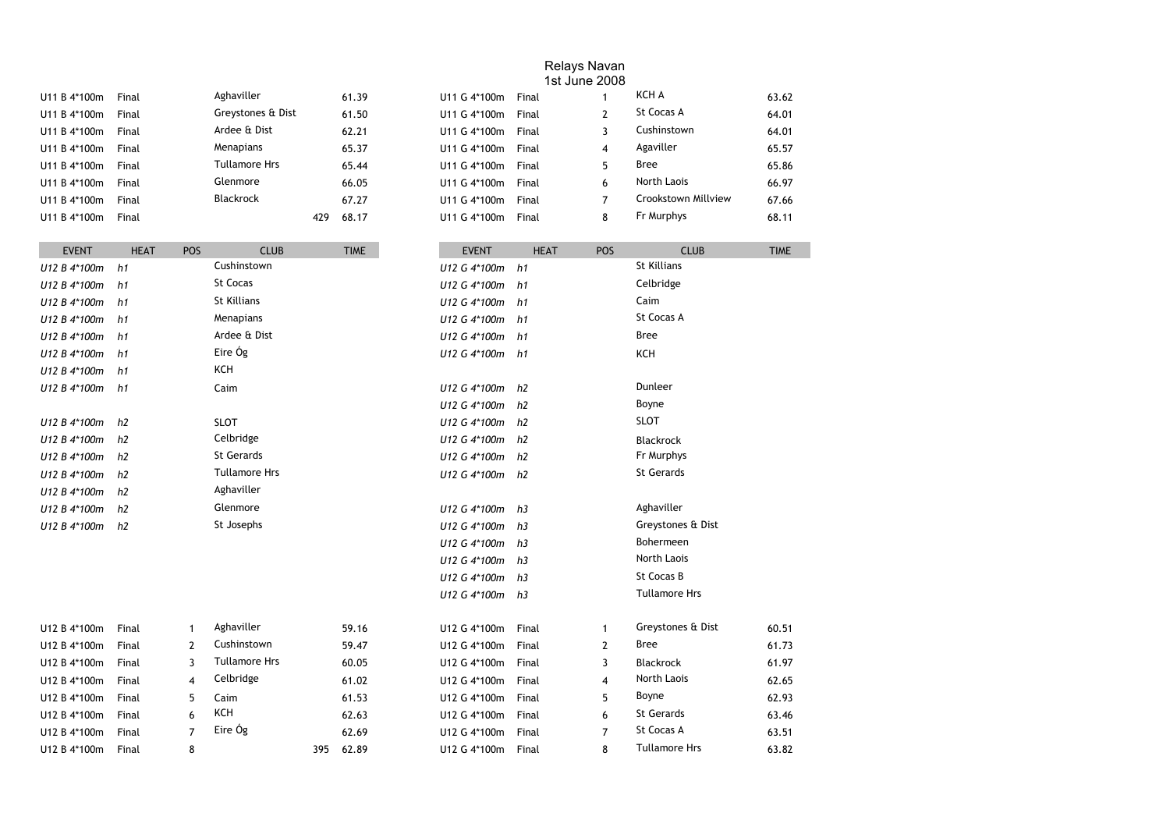| U11 B 4*100m | Final | Aghaviller           |     | 61.39 |  |
|--------------|-------|----------------------|-----|-------|--|
| U11 B 4*100m | Final | Greystones & Dist    |     | 61.50 |  |
| U11 B 4*100m | Final | Ardee & Dist         |     | 62.21 |  |
| U11 B 4*100m | Final | Menapians            |     | 65.37 |  |
| U11 B 4*100m | Final | <b>Tullamore Hrs</b> |     | 65.44 |  |
| U11 B 4*100m | Final | Glenmore             |     | 66.05 |  |
| U11 B 4*100m | Final | <b>Blackrock</b>     |     | 67.27 |  |
| U11 B 4*100m | Final |                      | 479 | 68.17 |  |

| U11 B 4*100m | Final | Aghaviller           |     | 61.39 | U11 G 4*100m | Final |    | KCH A               | 63.62 |
|--------------|-------|----------------------|-----|-------|--------------|-------|----|---------------------|-------|
| U11 B 4*100m | Final | Greystones & Dist    |     | 61.50 | U11 G 4*100m | Final |    | St Cocas A          | 64.01 |
| U11 B 4*100m | Final | Ardee & Dist         |     | 62.21 | U11 G 4*100m | Final |    | Cushinstown         | 64.01 |
| U11 B 4*100m | Final | Menapians            |     | 65.37 | U11 G 4*100m | Final | 4  | Agaviller           | 65.57 |
| U11 B 4*100m | Final | <b>Tullamore Hrs</b> |     | 65.44 | U11 G 4*100m | Final | Б. | Bree                | 65.86 |
| U11 B 4*100m | Final | Glenmore             |     | 66.05 | U11 G 4*100m | Final | 6  | North Laois         | 66.97 |
| U11 B 4*100m | Final | <b>Blackrock</b>     |     | 67.27 | U11 G 4*100m | Final |    | Crookstown Millview | 67.66 |
| U11 B 4*100m | Final |                      | 429 | 68.17 | U11 G 4*100m | Final | 8  | Fr Murphys          | 68.11 |
|              |       |                      |     |       |              |       |    |                     |       |

| <b>EVENT</b> | <b>HEAT</b>    | POS            | <b>CLUB</b>          |     | <b>TIME</b> |              | <b>EVENT</b>   |              | <b>HEAT</b> | POS            | <b>CLUB</b>          | <b>TIME</b> |
|--------------|----------------|----------------|----------------------|-----|-------------|--------------|----------------|--------------|-------------|----------------|----------------------|-------------|
| U12 B 4*100m | h1             |                | Cushinstown          |     |             |              |                | U12 G 4*100m | h1          |                | <b>St Killians</b>   |             |
| U12 B 4*100m | h1             |                | <b>St Cocas</b>      |     |             | U12 G 4*100m |                |              | h1          |                | Celbridge            |             |
| U12 B 4*100m | h1             |                | St Killians          |     |             | U12 G 4*100m |                |              | h1          |                | Caim                 |             |
| U12 B 4*100m | h1             |                | Menapians            |     |             | U12 G 4*100m |                |              | h1          |                | St Cocas A           |             |
| U12 B 4*100m | h1             |                | Ardee & Dist         |     |             | U12 G 4*100m |                |              | h1          |                | <b>Bree</b>          |             |
| U12 B 4*100m | h1             |                | Eire Óg              |     |             | U12 G 4*100m |                |              | h1          |                | KCH                  |             |
| U12 B 4*100m | h1             |                | KCH                  |     |             |              |                |              |             |                |                      |             |
| U12 B 4*100m | h1             |                | Caim                 |     |             | U12 G 4*100m |                |              | h2          |                | Dunleer              |             |
|              |                |                |                      |     |             | U12 G 4*100m | h2             |              |             |                | Boyne                |             |
| U12 B 4*100m | h <sub>2</sub> |                | <b>SLOT</b>          |     |             | U12 G 4*100m | h2             |              |             |                | <b>SLOT</b>          |             |
| U12 B 4*100m | h2             |                | Celbridge            |     |             | U12 G 4*100m | h <sub>2</sub> |              |             |                | <b>Blackrock</b>     |             |
| U12 B 4*100m | h2             |                | <b>St Gerards</b>    |     |             | U12 G 4*100m | h2             |              |             |                | Fr Murphys           |             |
| U12 B 4*100m | h2             |                | <b>Tullamore Hrs</b> |     |             | U12 G 4*100m | h2             |              |             |                | St Gerards           |             |
| U12 B 4*100m | h2             |                | Aghaviller           |     |             |              |                |              |             |                |                      |             |
| U12 B 4*100m | h2             |                | Glenmore             |     |             | U12 G 4*100m | h3             |              |             |                | Aghaviller           |             |
| U12 B 4*100m | h2             |                | St Josephs           |     |             | U12 G 4*100m | h <sub>3</sub> |              |             |                | Greystones & Dist    |             |
|              |                |                |                      |     |             | U12 G 4*100m | h3             |              |             |                | Bohermeen            |             |
|              |                |                |                      |     |             | U12 G 4*100m | h3             |              |             |                | North Laois          |             |
|              |                |                |                      |     |             | U12 G 4*100m | h3             |              |             |                | St Cocas B           |             |
|              |                |                |                      |     |             | U12 G 4*100m | h3             |              |             |                | <b>Tullamore Hrs</b> |             |
| U12 B 4*100m | Final          | 1              | Aghaviller           |     | 59.16       | U12 G 4*100m |                | Final        |             | $\mathbf{1}$   | Greystones & Dist    | 60.51       |
| U12 B 4*100m | Final          | 2              | Cushinstown          |     | 59.47       | U12 G 4*100m |                | Final        |             | $\overline{2}$ | <b>Bree</b>          | 61.73       |
| U12 B 4*100m | Final          | 3              | <b>Tullamore Hrs</b> |     | 60.05       | U12 G 4*100m |                | Final        |             | 3              | <b>Blackrock</b>     | 61.97       |
| U12 B 4*100m | Final          | 4              | Celbridge            |     | 61.02       | U12 G 4*100m |                | Final        |             | 4              | North Laois          | 62.65       |
| U12 B 4*100m | Final          | 5              | Caim                 |     | 61.53       | U12 G 4*100m |                | Final        |             | 5              | Boyne                | 62.93       |
| U12 B 4*100m | Final          | 6              | KCH                  |     | 62.63       | U12 G 4*100m |                | Final        |             | 6              | St Gerards           | 63.46       |
| U12 B 4*100m | Final          | $\overline{7}$ | Eire Óg              |     | 62.69       | U12 G 4*100m |                | Final        |             | $\overline{7}$ | St Cocas A           | 63.51       |
| U12 B 4*100m | Final          | 8              |                      | 395 | 62.89       | U12 G 4*100m |                | Final        |             | 8              | <b>Tullamore Hrs</b> | 63.82       |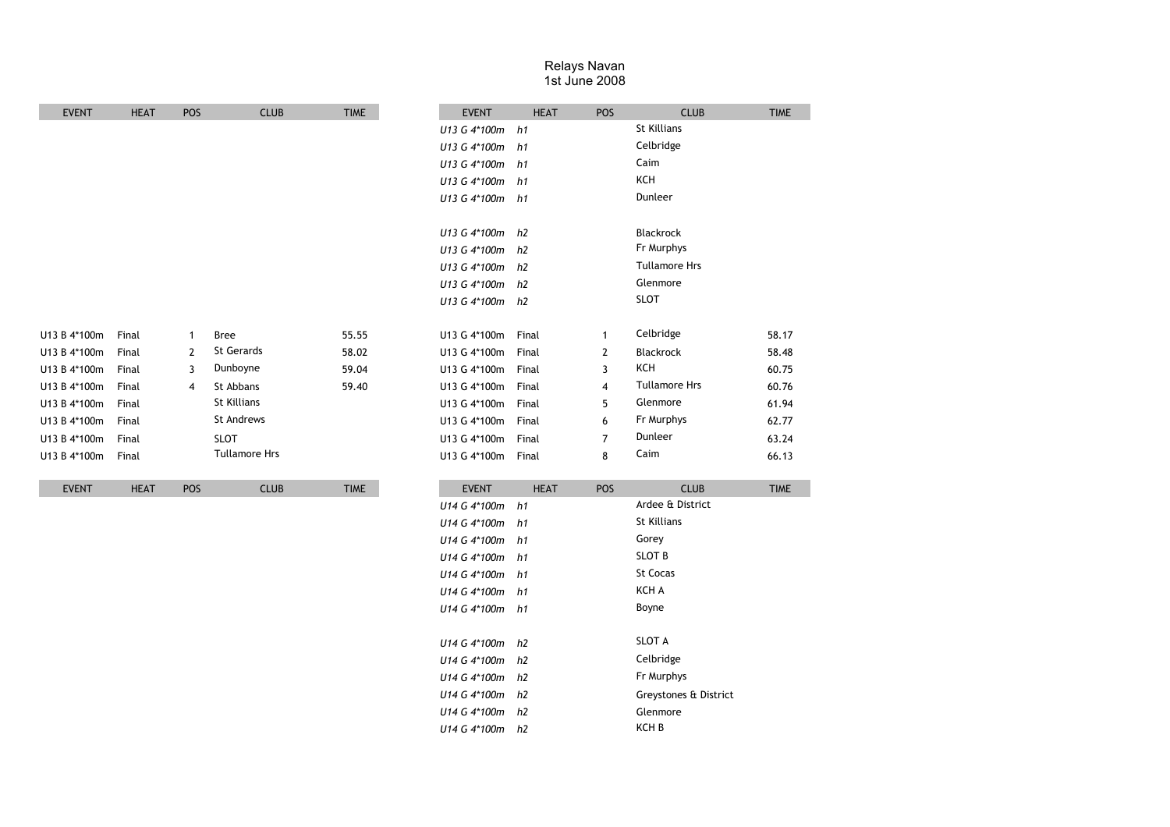| <b>EVENT</b> | <b>HEAT</b> | POS            | <b>CLUB</b>          | <b>TIME</b> |                 | <b>EVENT</b>   | <b>HEAT</b> | POS            |
|--------------|-------------|----------------|----------------------|-------------|-----------------|----------------|-------------|----------------|
|              |             |                |                      |             | U13 G 4*100m    |                | h1          |                |
|              |             |                |                      |             | U13 G 4*100m    |                | h1          |                |
|              |             |                |                      |             | U13 G 4*100m    |                | h1          |                |
|              |             |                |                      |             | U13 G 4*100m    |                | h1          |                |
|              |             |                |                      |             | U13 G 4*100m h1 |                |             |                |
|              |             |                |                      |             | U13 G 4*100m    | h2             |             |                |
|              |             |                |                      |             | U13 G 4*100m    | h <sub>2</sub> |             |                |
|              |             |                |                      |             | U13 G 4*100m    | h2             |             |                |
|              |             |                |                      |             | U13 G 4*100m    | h2             |             |                |
|              |             |                |                      |             | U13 G 4*100m h2 |                |             |                |
| U13 B 4*100m | Final       | $\mathbf{1}$   | <b>Bree</b>          | 55.55       | U13 G 4*100m    | Final          |             | $\mathbf{1}$   |
| U13 B 4*100m | Final       | $\overline{2}$ | <b>St Gerards</b>    | 58.02       | U13 G 4*100m    | Final          |             | $\overline{2}$ |
| U13 B 4*100m | Final       | 3              | Dunboyne             | 59.04       | U13 G 4*100m    | Final          |             | 3              |
| U13 B 4*100m | Final       | 4              | St Abbans            | 59.40       | U13 G 4*100m    | Final          |             | $\overline{4}$ |
| U13 B 4*100m | Final       |                | St Killians          |             | U13 G 4*100m    | Final          |             | 5              |
| U13 B 4*100m | Final       |                | St Andrews           |             | U13 G 4*100m    | Final          |             | 6              |
| U13 B 4*100m | Final       |                | <b>SLOT</b>          |             | U13 G 4*100m    | Final          |             | 7              |
| U13 B 4*100m | Final       |                | <b>Tullamore Hrs</b> |             | U13 G 4*100m    | Final          |             | 8              |
| <b>EVENT</b> | <b>HEAT</b> | POS            | <b>CLUB</b>          | <b>TIME</b> | <b>EVENT</b>    | <b>HEAT</b>    |             | POS            |
|              |             |                |                      |             | U14 G 4*100m    | h1             |             |                |
|              |             |                |                      |             | U14 G 4*100m    | h1             |             |                |
|              |             |                |                      |             | U14 G 4*100m    | h1             |             |                |
|              |             |                |                      |             | U14 G 4*100m    | h1             |             |                |
|              |             |                |                      |             | U14 G 4*100m    | h1             |             |                |
|              |             |                |                      |             | U14 G 4*100m    | h1             |             |                |
|              |             |                |                      |             |                 |                |             |                |

*U14 G 4\*100m h2* SLOT A *U14 G 4\*100m h2 U14 G 4\*100m h2 U14 G 4\*100m h2* Greystones & District *U14 G 4\*100m h2* Celbridge Fr Murphys Glenmore

*U14 G 4\*100m h2* KCH B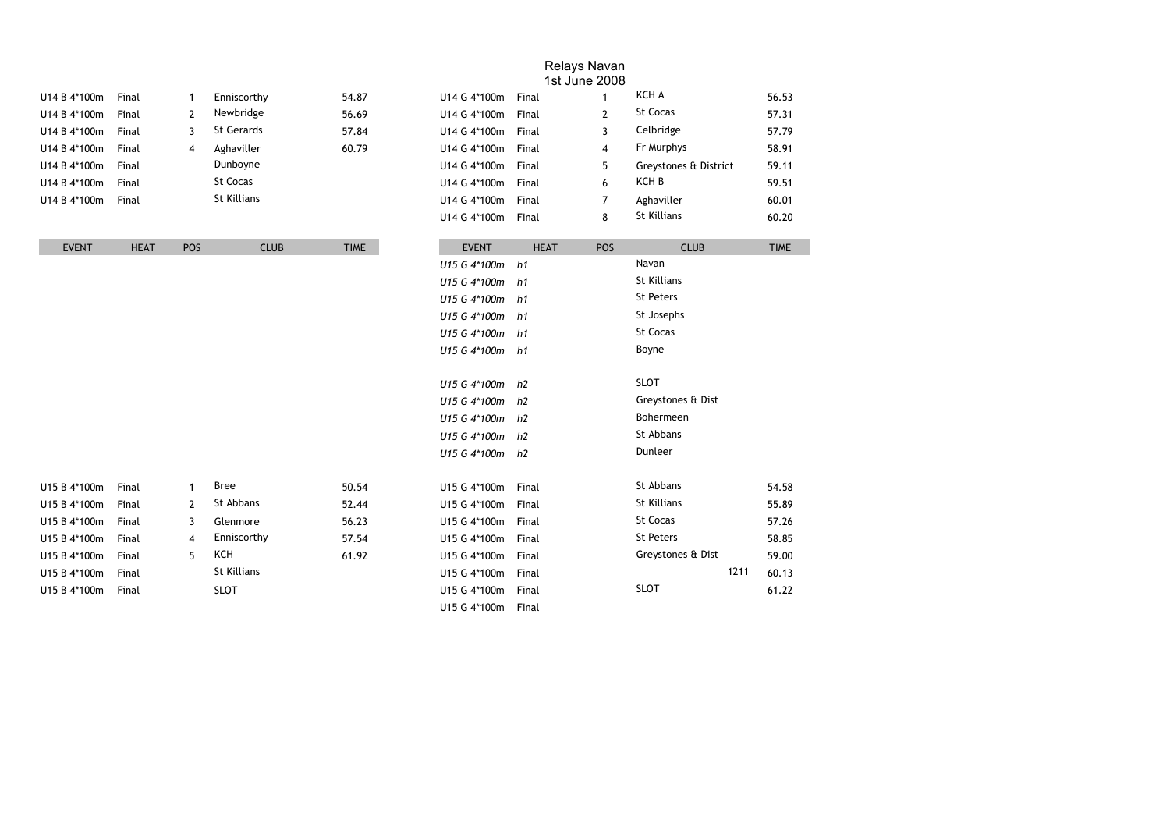|              |             |                |                    |             |                    |             | 1st June 2008  |                       |             |
|--------------|-------------|----------------|--------------------|-------------|--------------------|-------------|----------------|-----------------------|-------------|
| U14 B 4*100m | Final       | 1              | Enniscorthy        | 54.87       | U14 G 4*100m       | Final       | $\mathbf{1}$   | KCH A                 | 56.53       |
| U14 B 4*100m | Final       | $\overline{2}$ | Newbridge          | 56.69       | U14 G 4*100m       | Final       | $\overline{2}$ | St Cocas              | 57.31       |
| U14 B 4*100m | Final       | 3              | <b>St Gerards</b>  | 57.84       | U14 G 4*100m       | Final       | 3              | Celbridge             | 57.79       |
| U14 B 4*100m | Final       | 4              | Aghaviller         | 60.79       | U14 G 4*100m       | Final       | 4              | Fr Murphys            | 58.91       |
| U14 B 4*100m | Final       |                | Dunboyne           |             | U14 G 4*100m       | Final       | 5              | Greystones & District | 59.11       |
| U14 B 4*100m | Final       |                | St Cocas           |             | U14 G 4*100m       | Final       | 6              | KCH B                 | 59.51       |
| U14 B 4*100m | Final       |                | <b>St Killians</b> |             | U14 G 4*100m       | Final       | $\overline{7}$ | Aghaviller            | 60.01       |
|              |             |                |                    |             | U14 G 4*100m       | Final       | 8              | <b>St Killians</b>    | 60.20       |
| <b>EVENT</b> | <b>HEAT</b> | POS            | <b>CLUB</b>        | <b>TIME</b> | <b>EVENT</b>       | <b>HEAT</b> | POS            | <b>CLUB</b>           | <b>TIME</b> |
|              |             |                |                    |             | U15 G 4*100m       | h1          |                | Navan                 |             |
|              |             |                |                    |             | U15 G 4*100m h1    |             |                | <b>St Killians</b>    |             |
|              |             |                |                    |             | U15 G 4*100m h1    |             |                | St Peters             |             |
|              |             |                |                    |             | U15 G 4*100m       | h1          |                | St Josephs            |             |
|              |             |                |                    |             | U15 G 4*100m       | h1          |                | St Cocas              |             |
|              |             |                |                    |             | U15 G 4*100m h1    |             |                | Boyne                 |             |
|              |             |                |                    |             | U15 G 4*100m h2    |             |                | <b>SLOT</b>           |             |
|              |             |                |                    |             | U15 G 4*100m h2    |             |                | Greystones & Dist     |             |
|              |             |                |                    |             | U15 G 4*100m       | h2          |                | Bohermeen             |             |
|              |             |                |                    |             | U15 G 4*100m h2    |             |                | St Abbans             |             |
|              |             |                |                    |             | U15 G 4*100m h2    |             |                | Dunleer               |             |
| U15 B 4*100m | Final       | $\mathbf{1}$   | <b>Bree</b>        | 50.54       | U15 G 4*100m       | Final       |                | St Abbans             | 54.58       |
| U15 B 4*100m | Final       | 2              | St Abbans          | 52.44       | U15 G 4*100m       | Final       |                | <b>St Killians</b>    | 55.89       |
| U15 B 4*100m | Final       | 3              | Glenmore           | 56.23       | U15 G 4*100m       | Final       |                | St Cocas              | 57.26       |
| U15 B 4*100m | Final       | 4              | Enniscorthy        | 57.54       | U15 G 4*100m       | Final       |                | St Peters             | 58.85       |
| U15 B 4*100m | Final       | 5              | <b>KCH</b>         | 61.92       | U15 G 4*100m       | Final       |                | Greystones & Dist     | 59.00       |
| U15 B 4*100m | Final       |                | St Killians        |             | U15 G 4*100m       | Final       |                | 1211                  | 60.13       |
| U15 B 4*100m | Final       |                | <b>SLOT</b>        |             | U15 G 4*100m       | Final       |                | <b>SLOT</b>           | 61.22       |
|              |             |                |                    |             | U15 G 4*100m Final |             |                |                       |             |

Relays Navan